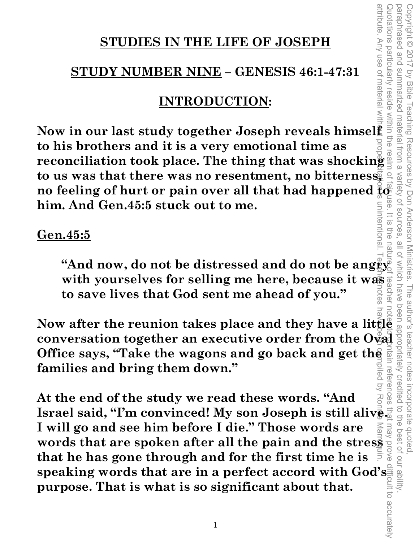### **STUDIES IN THE LIFE OF JOSEPH**

## **STUDY NUMBER NINE – GENESIS 46:1-47:31**

## **INTRODUCTION:**

attribute. Any use of material without proper citation is unintentional. Teacher notes have been compiled by Ronnie Marroquin. **Now in our last study together Joseph reveals himself to his brothers and it is a very emotional time as reconciliation took place. The thing that was shocking to us was that there was no resentment, no bitterness, no feeling of hurt or pain over all that had happened**  $\frac{2}{5}$  **of**  $\frac{1}{5}$  **him. And Gen.45:5 stuck out to me. him. And Gen.45:5 stuck out to me.**  unintentiona

### **Gen.45:5**

"And now, do not be distressed and do not be angry<sup>2</sup> **with yourselves for selling me here, because it was to save lives that God sent me ahead of you."** 

Copyright © 2017 by Bible Teaching Resources by Don Anderson Ministries. The author's teacher notes incorporate quoted,

The author's teacher notes

incorporate quoted  $\overrightarrow{C}$ 

the best of our ability

Teaching Resources by Don Anderson Ministries.

paraphrased and summarized material from a variety of sources, all of which have been appropriately credited to the best of our ability.

all of Which have

Variety of sources

 $\overline{\odot}$  $\frac{1}{2}$ 

attribute. Any use of materia

Vinciations particularly

**reside** 

within the

paraphrased and

summarized material from a

Copyright © 2017 by Bible

Now after the reunion takes place and they have a little and<br>conversation together an executive order from the Ovad example.<br>Office says, "Take the wagons and go back and get the and  $\frac{1}{2}$ <br>families and bring them down **conversation together an executive order from the Oval Office says, "Take the wagons and go back and get the families and bring them down."**  retere

**At the end of the study we read these words. "And Israel said, "I'm convinced! My son Joseph is still alive. I will go and see him before I die." Those words are**  At the end of the study we read these words. "And<br>
Israel said, "I'm convinced! My son Joseph is still alive<br>
I will go and see him before I die." Those words are<br>
words that are spoken after all the pain and the stress<br>
t **that he has gone through and for the first time he is**  speaking words that are in a perfect accord with God's **surpose**. That is what is so significant about that. **purpose. That is what is so significant about that.**  Quotations particularly reside within the realm of fair use. It is the nature of teacher note of teacher note pintain references that may prove difficult to accurately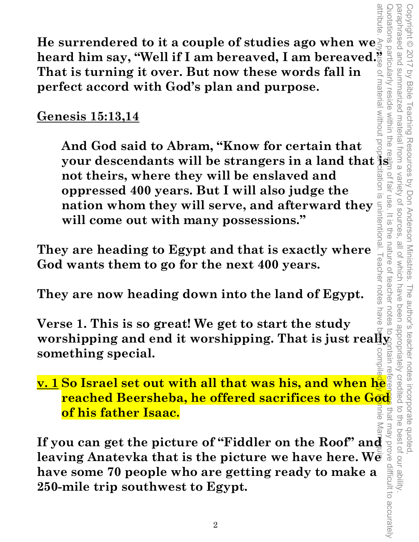**He surrendered to it a couple of studies ago when we**  He surrendered to it a couple of studies ago when we **That is turning it over. But now these words fall in perfect accord with God's plan and purpose.** 

## **Genesis 15:13,14**

material Without **And God said to Abram, "Know for certain that your descendants will be strangers in a land that is not theirs, where they will be enslaved and**   $\overline{\mathfrak{g}}$ **oppressed 400 years. But I will also judge the nation whom they will serve, and afterward they<br>will come out with many possessions."**<br>ware beading to Egypt and that is exactly where **will come out with many possessions."** 

Copyright © 2017 by Bible Teaching Resources by Don Anderson Ministries. The author's teacher notes incorporate quoted,

The author's teacher notes

been appropriately credited

i incorporate quoted,<br>redited to the best of our ability

Teaching Resources by Don Anderson Ministries.

paraphrased and summarized material from a variety of sources, all of which have been appropriately credited to the best of our ability.

all of which have

Variety of sources fair use

paraphrased and Copyright © 2017

summarized material from a

reside within the

 $\supseteq$ 

 $rac{1}{\sqrt{2}}$ 

ine

nature of

teacher

I eacher notes

**by Bible** 

**They are heading to Egypt and that is exactly where God wants them to go for the next 400 years.** 

**They are now heading down into the land of Egypt.** 

attribute. Any pse of material without prope<del>r</del> citation is unintentional. Teacher notes have be<del>e</del>n compiled <mark>by Ro</mark>nnie Marrequi $\bf a$ notes nave **Verse 1. This is so great! We get to start the study worshipping and end it worshipping. That is just really** ntain ren **something special.** 

Quotations particularly reside within the realm of fair use. It is the nature of teacher notes to contain references that may prove difficult to accurately **v. 1 So Israel set out with all that was his, and when he reached Beersheba, he offered sacrifices to the God of his father Isaac.**  that

**If you can get the picture of "Fiddler on the Roof" and leaving Anatevka that is the picture we have here. We have some 70 people who are getting ready to make a 250-mile trip southwest to Egypt.** leaving Anatevka that is the picture we have here. We **have some 70 people who are getting ready to make a 250-mile trip southwest to Egypt.**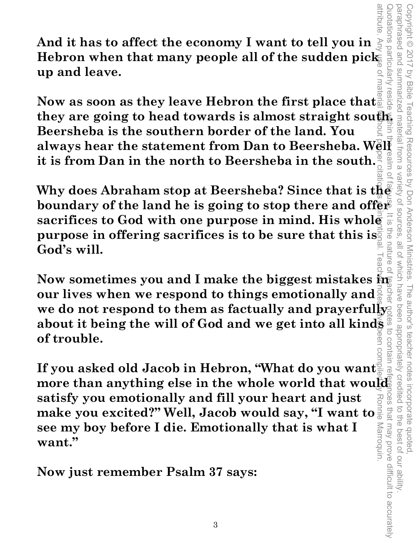**And it has to affect the economy I want to tell you in**  Hebron when that many people all of the sudden pick **up and leave.** 

**they are going to head towards is almost straight southern**<br> **they are going to head towards is almost straight southern**<br> **Exersheba is the southern border of the land. You<br>
always hear the statement from Dan to Beersheb Now as soon as they leave Hebron the first place that**  / reside **Beersheba is the southern border of the land. You always hear the statement from Dan to Beersheba. Well it is from Dan in the north to Beersheba in the south.** 

**Why does Abraham stop at Beersheba? Since that is the boundary of the land he is going to stop there and offer sacrifices to God with one purpose in mind. His whole purpose in offering sacrifices is to be sure that this is.** nature **God's will.** 

Copyright © 2017 by Bible Teaching Resources by Don Anderson Ministries. The author's teacher notes incorporate quoted,

The author's teacher notes

been appropriately credited

incorporate quoted,<br>edited to the best of our ability

Teaching Resources by Don Anderson Ministries.

Copyright © 2017 pue peseudenec

by Bible

uotations particularly

paraphrased and summarized material from a variety of sources, all of which have been appropriately credited to the best of our ability.

 $\frac{10}{10}$ 

Which have

Variety of sources

**Now sometimes you and I make the biggest mistakes in our lives when we respond to things emotionally and we do not respond to them as factually and prayerfully about it being the will of God and we get into all kinds**  $\frac{8}{5}$ **<br>of trouble.**<br>If you asked old Jacob in Hebron. "What do you want **of trouble.**  Quotations particularly reside within the realm of fair use. It is the nature of teacher notes to contain references that may prove difficult to accurately

attribute. Any use of material without proper citation is unintentional. Teacher notes have been compiled by Ronnie Marroquin. **If you asked old Jacob in Hebron, "What do you want more than anything else in the whole world that would satisfy you emotionally and fill your heart and just CeS make you excited?" Well, Jacob would say, "I want to**  that may prove difficult to accurately **see my boy before I die. Emotionally that is what I Marroquin. want."** 

**Now just remember Psalm 37 says:**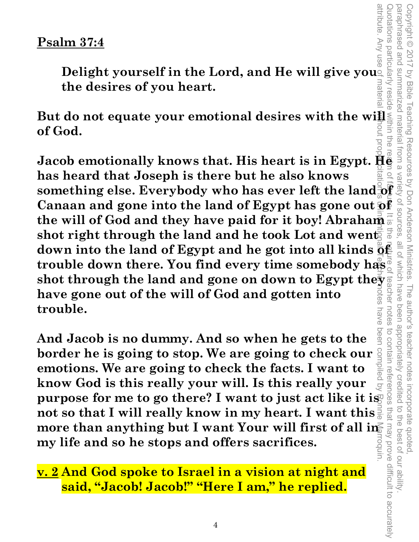#### **Psalm 37:4**

**Delight yourself in the Lord, and He will give you** materia **the desires of you heart.** 

**But do not equate your emotional desires with the will of God. Jacob emotionally knows that. His heart is in Egypt. He** 

attribute. Any use of material without proper citation is unintentional. Teacher notes have been compiled by Ronnie Marroquin. **has heard that Joseph is there but he also knows**<br>something else. Everybody who has ever left the land of **has heard that Joseph is there but he also knows Canaan and gone into the land of Egypt has gone out of the will of God and they have paid for it boy! Abraham shot right through the land and he took Lot and went**  $\frac{2}{3}$ **down into the land of Egypt and he got into all kinds**  $\bar{\mathbf{Q}}$ **trouble down there. You find every time somebody has shot through the land and gone on down to Egypt the**  $\frac{1}{2}$  **and and gotten into have gone out of the will of God and gotten into trouble.**  nave

peen **And Jacob is no dummy. And so when he gets to the border he is going to stop. We are going to check our <sup>8</sup><br>exactions We are going to sheek the facts. Lyont to**  $\frac{1}{2}$ **emotions. We are going to check the facts. I want to know God is this really your will. Is this really your purpose for me to go there?** I want to just act like it is **not so that I will really know in my heart. I want this**  more than anything but I want Your will first of all in **my life and so he stops and offers sacrifices.**  unbou

**v. 2 And God spoke to Israel in a vision at night and said, "Jacob! Jacob!" "Here I am," he replied.**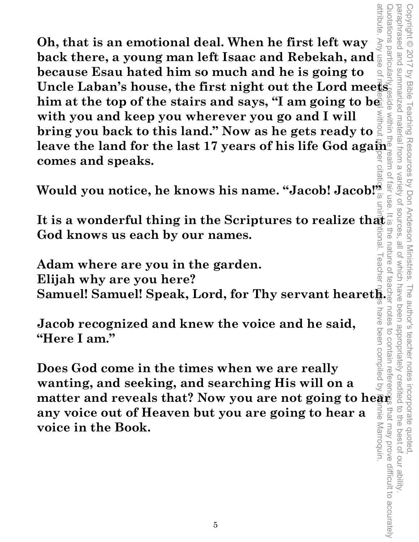**Oh, that is an emotional deal. When he first left way back there, a young man left Isaac and Rebekah, and because Esau hated him so much and he is going to Uncle Laban's house, the first night out the Lord meets him at the top of the stairs and says, "I am going to be with you and keep you wherever you go and I will bring you back to this land." Now as he gets ready to leave the land for the last 17 years of his life God again comes and speaks.** 

Would you notice, he knows his name. "Jacob! Jacob!"

It is a wonderful thing in the Scriptures to realize that<br>
God knows us each by our names.<br>
Adam where are you in the garden **God knows us each by our names.** 

**Adam where are you in the garden. Elijah why are you here? Samuel! Samuel! Speak, Lord, for Thy servant heareth.** 

**Jacob recognized and knew the voice and he said, "Here I am."** 

**Does God come in the times when we are really wanting, and seeking, and searching His will on a matter and reveals that? Now you are not going to hear any voice out of Heaven but you are going to hear a voice in the Book.**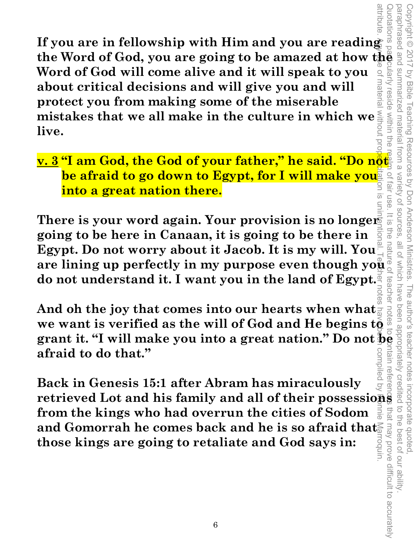**If you are in fellowship with Him and you are reading the Word of God, you are going to be amazed at how the Word of God will come alive and it will speak to you**  materia **about critical decisions and will give you and will protect you from making some of the miserable mistakes that we all make in the culture in which we live.** 

**v. 3 "I am God, the God of your father," he said. "Do not be afraid to go down to Egypt, for I will make you into a great nation there.** 

There is your word again. Your provision is no longer **going to be here in Canaan, it is going to be there in Egypt. Do not worry about it Jacob. It is my will. You**  are lining up perfectly in my purpose even though you **do not understand it. I want you in the land of Egypt.** 

Copyright © 2017 by Bible Teaching Resources by Don Anderson Ministries. The author's teacher notes incorporate quoted,

The author's teacher notes

Teaching Resources by Don Anderson Ministries.

Copyright © 2017

by Bible

xularly

reside within the

summarized material from a

paraphrased and summarized material from a variety of sources, all of which have been appropriately credited to the best of our ability.

 $\frac{1}{2}$ 

natt

Variety of sources **Tall USB** 

Quotations particularly reside within the realm of fair use. It is the nature of teacher notes to contain references that may prove difficult to accurately Egypt. Do not worry about it Jacob. It is my will. You  $\frac{1}{2}$  and  $\frac{1}{2}$  are lining up perfectly in my purpose even though you  $\frac{1}{2}$  and  $\frac{1}{2}$  and  $\frac{1}{2}$  and  $\frac{1}{2}$  and  $\frac{1}{2}$  and  $\frac{1}{2}$  and  $\frac{$ do not understand it. I want you in the land of Egypt.<sup>2</sup><br>
And oh the joy that comes into our hearts when what<br>
we want is verified as the will of God and He begins to And oh the joy that comes into our hearts when what **afraid to do that." Itain** refere peliqmo:

attribute. Any use of material without proper citation is unintentional. Teacher notes have been compiled by Ronnie Marroquin. **Back in Genesis 15:1 after Abram has miraculously Fack in Genesis 15:1 after Abram has miraculously**<br>**retrieved Lot and his family and all of their possessions**  $\frac{1}{8}$  and<br>**from the kings who had overrun the cities of Sodom**<br>and Gomorrah he comes back and he is so af that may prove difficult to accurately **from the kings who had overrun the cities of Sodom**  and Gomorrah he comes back and he is so afraid that. roquin. **those kings are going to retaliate and God says in:**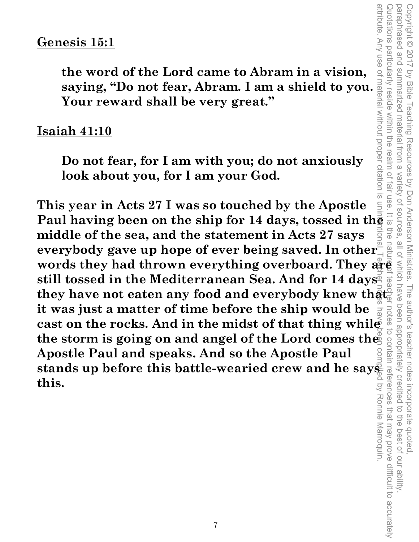**the word of the Lord came to Abram in a vision, saying, "Do not fear, Abram. I am a shield to you. Your reward shall be very great."** 

#### **Isaiah 41:10**

**Do not fear, for I am with you; do not anxiously look about you, for I am your God.** 

**This year in Acts 27 I was so touched by the Apostle Paul having been on the ship for 14 days, tossed in the middle of the sea, and the statement in Acts 27 says**  everybody gave up hope of ever being saved. In other<sup><sup>2</sup></sup> **Genesis 15:1**<br>
the word of the Lord came to Abram in a vision,<br>
saying, "Do not fear, Abram. I am a shield to you."<br>
Saying, "Do not fear, Abram. I am a shield to you."<br>
Your reward shall be very great."<br>
Isaiah 41:10<br>
Do **still tossed in the Mediterranean Sea. And for 14 days they have not eaten any food and everybody knew that it was just a matter of time before the ship would be cast on the rocks. And in the midst of that thing while**  the storm is going on and angel of the Lord comes the **Apostle Paul and speaks. And so the Apostle Paul stands up before this battle-wearied crew and he says this.**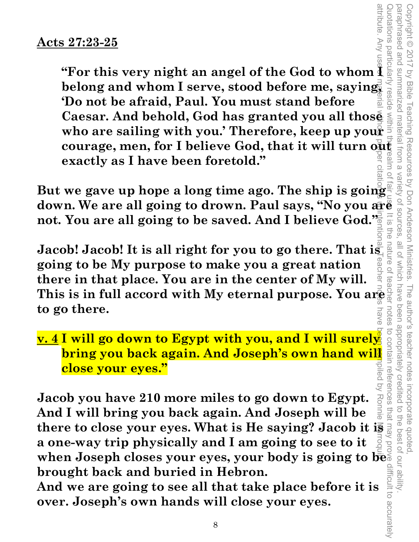**EXAMPLE 1.1 COVER SET AND SET AND SET AND SET AND SET AND SET AND SET AND SET AND SET AND SET AND SET AND SET AND SET AND SET AND SET AND SET AND SET AND SET AND SET AND SET AND SET AND SET AND SET AND SET AND SET AND SET courage, men, for I believe God, that it will turn out all exactly as I have been foretold."**<br> **courage, men, for I believe God, that it will turn out**  $\frac{1}{3}$  **and**  $\frac{1}{3}$  **and**  $\frac{1}{3}$  **and**  $\frac{1}{3}$  **and**  $\frac{1}{3}$  **and** attribute. Any use<del>rei</del> material w**u**hot preper citation is unintentional. Teacher notes have been compiled by Ronnie Marroqui**x** Quotations particularly reside within the realm of fair use. It is the nature of teacher notes to contain references that may prove difficult to accurately **belong and whom I serve, stood before me, saying,**  reside **'Do not be afraid, Paul. You must stand before Caesar. And behold, God has granted you all those who are sailing with you.' Therefore, keep up your exactly as I have been foretold."** 

**But we gave up hope a long time ago. The ship is going set down. We are all going to drown. Paul says, "No you are all going to be saved. And I believe God." But we gave up hope a long time ago. The ship is going not. You are all going to be saved. And I believe God."**  금<br>이

Copyright © 2017 by Bible Teaching Resources by Don Anderson Ministries. The author's teacher notes incorporate quoted,

The author's teacher notes

been appropriately credited

i incorporate quoted,<br>redited to the best of our ability

Teaching Resources by Don Anderson Ministries.

 $\overline{O}$ ದ

Copyright © 2017 by Bible

paraphrased and summarized material from a variety of sources, all of which have been appropriately credited to the best of our ability.

nature

 $\overline{O}$ 

all of which have

Jacob! Jacob! It is all right for you to go there. That is **going to be My purpose to make you a great nation there in that place. You are in the center of My will. This is in full accord with My eternal purpose. You are**  $\frac{1}{2}$  **and <b>This is in full accord with My eternal purpose. You are**<br> **to go there. to go there.**  nave

**v. 4 I will go down to Egypt with you, and I will surely bring you back again. And Joseph's own hand will close your eyes."** 

**Jacob you have 210 more miles to go down to Egypt. And I will bring you back again. And Joseph will be there to close your eyes. What is He saying? Jacob it is a one-way trip physically and I am going to see to it when Joseph closes your eyes, your body is going to be brought back and buried in Hebron.** 

**And we are going to see all that take place before it is over. Joseph's own hands will close your eyes.**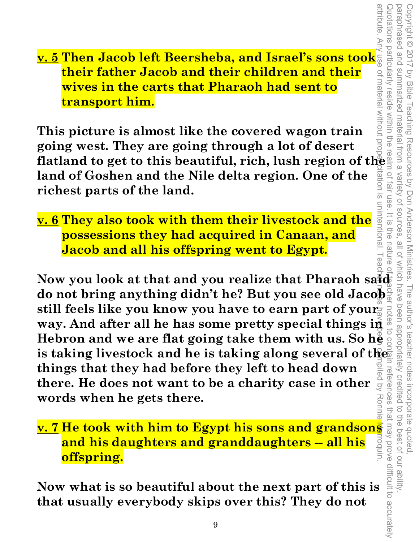**<u>v. 5</u> Then Jacob left Beersheba, and Israel's sons took their father Jacob and their children and their<br>wives in the carts that Pharaoh had sent to<br>transport him.<br>This picture is almost like the covered wagon train their father Jacob and their children and their wives in the carts that Pharaoh had sent to transport him.** 

**This picture is almost like the covered wagon train going west. They are going through a lot of desert flatland to get to this beautiful, rich, lush region of the land of Goshen and the Nile delta region. One of the richest parts of the land.** 

**v. 6 They also took with them their livestock and the possessions they had acquired in Canaan, and Jacob and all his offspring went to Egypt.** 

**Now you look at that and you realize that Pharaoh said do not bring anything didn't he? But you see old Jacob**  still feels like you know you have to earn part of your **way. And after all he has some pretty special things in Hebron and we are flat going take them with us. So he is taking livestock and he is taking along several of the things that they had before they left to head down there. He does not want to be a charity case in other words when he gets there.**  attribute. Any use of material without proper citation is unintentional. Teacher notes have been compiled by Ronnie Marroquin.

# **v. 7 He took with him to Egypt his sons and grandsons**<br> **and his daughters and granddaughters -- all his and grands**<br> **offspring.**<br>
Now what is so beautiful about the next part of this is a set<br>
that usually everybody ski **and his daughters and granddaughters -- all his offspring.**

**Now what is so beautiful about the next part of this is that usually everybody skips over this? They do not**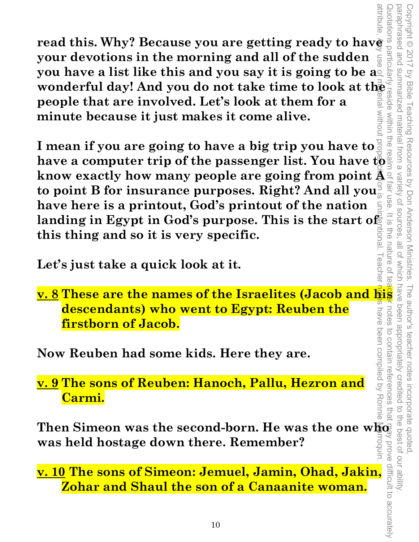**read this. Why? Because you are getting ready to have a**<br>**your devotions in the morning and all of the sudden**<br>**you have a list like this and you say it is going to be aged your devotions in the morning and all of the sudden you have a list like this and you say it is going to be a. wonderful day! And you do not take time to look at the <br>
people that are involved. Let's look at them for a<br>
minute because it just makes it come alive.<br>
I mean if you are going to have a hightnin you have to**  $\frac{2}{5}$ **people that are involved. Let's look at them for a MITDOUT minute because it just makes it come alive.** 

attribute. Any use of material without proper citation is unintentional. Teacher notes have been compiled by Ronnie Marroquin. **I mean if you are going to have a big trip you have to have a computer trip of the passenger list. You have to know exactly how many people are going from point A to point B for insurance purposes. Right? And all you have here is a printout, God's printout of the nation**  landing in Egypt in God's purpose. This is the start of licnal **this thing and so it is very specific.** 

Copyright © 2017 by Bible Teaching Resources by Don Anderson Ministries. The author's teacher notes incorporate quoted,

The author's teacher notes incorporate quoted

been appropriately creditec

Copyright © 2017 by Bible Teaching Resources by Don Anderson Ministries.

summarized material from a

paraphrased and summarized material from a variety of sources, all of which have been appropriately credited to the best of our ability.

Variety of sources

 $\frac{1}{\sqrt{2}}$ 

FIG<br>O

nature

notes

paraphrased and

**Let's just take a quick look at it.** 

Let's just take a quick look at it.<br>
<u>v. 8</u> These are the names of the Israelites (Jacob and **his** allows **descendants) who went to Egypt: Reuben the**  nave **firstborn of Jacob.** 

**Now Reuben had some kids. Here they are.** 

**v. 9 The sons of Reuben: Hanoch, Pallu, Hezron and Carmi.** 

 $\boldsymbol{\mathrm{Then\;Simeon\; was\; the\; second-born. \; He\; was\; the\; one\; wKq}$ **was held hostage down there. Remember?**  Quotations particularly reside within the realm of fair use. It is the nature of teacher notes to contain references that may prove difficult to accurately

**v. 10 The sons of Simeon: Jemuel, Jamin, Ohad, Jakin, Zohar and Shaul the son of a Canaanite woman.**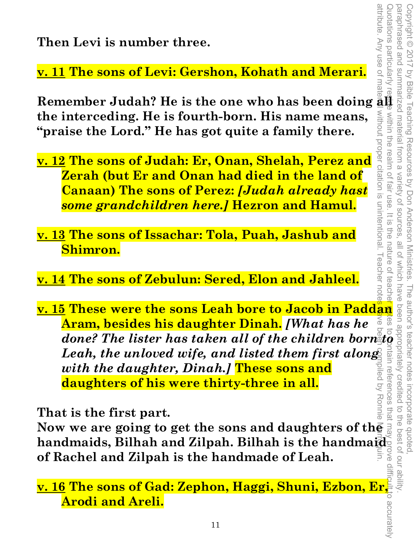**Then Levi is number three.** 

**v. 11 The sons of Levi: Gershon, Kohath and Merari.** 

Remember Judah? He is the one who has been doing  $\frac{1}{2}$ without proper citation is unintentional. I eacher note **the interceding. He is fourth-born. His name means, "praise the Lord." He has got quite a family there.** 

- **v. 12 The sons of Judah: Er, Onan, Shelah, Perez and Zerah (but Er and Onan had died in the land of Canaan) The sons of Perez:** *[Judah already hast some grandchildren here.]* **Hezron and Hamul.**
- **v. 13 The sons of Issachar: Tola, Puah, Jashub and Shimron.**
- **v. 14 The sons of Zebulun: Sered, Elon and Jahleel.**
- attribute. Any use of material without proper citation is unintentional. Teacher notes have been compiled by Ronnie Marroquin. **<u>v. 15</u> These were the sons Leah bore to Jacob in Paddan Aram, besides his daughter Dinah.** [What has he<br>done? The lister has taken all of the children bornato and<br>Leah, the unloved wife, and listed them first along<br>with **Aram, besides his daughter Dinah.** *[What has he*  done? The lister has taken all of the children born to be a state of the children born to Leah, the unloved wife, and listed them first along Leah, the unloved wife, and listed them first along<br>with the daughter, Dinah.] These sons and<br>daughters of his were thirty-three in all.<br>That is the first part.<br>Now we are going to get the sons and daughters of the *with the daughter, Dinah.]* **These sons and**  piled by Ronnie **daughters of his were thirty-three in all.**

**That is the first part.** 

**handmaids, Bilhah and Zilpah. Bilhah is the handmaid of Rachel and Zilpah is the handmade of Leah.** 

**v. 16 The sons of Gad: Zephon, Haggi, Shuni, Ezbon, Er, Arodi and Areli.**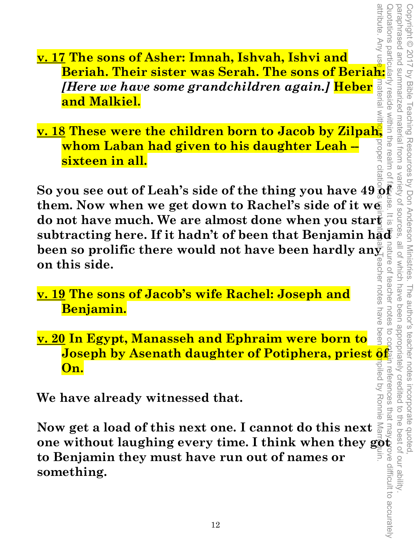attribute. Any us Example **1 The sons of Asher: Imnah, Ishvah, Ishvi and<br>Beriah. Their sister was Serah. The sons of Beriah: <b>and**<br>*History and have serve spans Jobildren warin*, J.H.J. and a **v. 17 The sons of Asher: Imnah, Ishvah, Ishvi and**  *[Here we have some grandchildren again.]* **Heber and Malkiel.** 

*Hend Malkiel.***<br>
<b>and Malkiel.**<br> **v. 18 These were the children born to Jacob by Zilpah, and Walkiel.**<br> **v. 18 These were the children born to Jacob by Zilpah, and whom Laban had given to his daughter Leah –<br>
sixteen in a whom Laban had given to his daughter Leah -**  orope **sixteen in all.**   $112110$ .

attribute. Any use et material with<mark>out</mark> proper citation is unintenti**on** intention is uninter a been compiled by Ronnie Marroquin. Quotations particularly reside within the realm of fair use. It is the nature of teacher notes to contain references that may prove difficult to accurately So you see out of Leah's side of the thing you have  $49\frac{5}{9}\frac{2}{5}\frac{3}{16}\frac{3}{16}\frac{3}{16}\frac{3}{16}\frac{3}{16}\frac{3}{16}\frac{3}{16}\frac{3}{16}\frac{3}{16}\frac{3}{16}\frac{3}{16}\frac{3}{16}\frac{3}{16}\frac{3}{16}\frac{3}{16}\frac{3}{16}\frac{3}{16}\frac{3}{16}\frac{3}{16}\frac{3}{16}\frac{3}{16}\frac{3}{16$ **So you see out of Leah's side of the thing you have 49 of them. Now when we get down to Rachel's side of it we**  do not have much. We are almost done when you start  $\frac{1}{\omega}$ **been so prolific there would not have been hardly angularity**<br>
on this side eacher notes **on this side.**   $\overline{O}$ 

Copyright © 2017 by Bible Teaching Resources by Don Anderson Ministries. The author's teacher notes incorporate quoted,

The author's teacher notes

incorporate quoted

the best of our ability

been appropriately creditec

Copyright © 2017 by Bible Teaching Resources by Don Anderson Ministries.

Summarized material from a

paraphrased and summarized material from a variety of sources, all of which have been appropriately credited to the best of our ability.

all of which have

paraphrased and

**v. 19 The sons of Jacob's wife Rachel: Joseph and Benjamin.** 

**v. 20 In Egypt, Manasseh and Ephraim were born to Joseph by Asenath daughter of Potiphera, priest of On.** 

**We have already witnessed that.** 

**Now get a load of this next one. I cannot do this next one without laughing every time. I think when they got to Benjamin they must have run out of names or something.**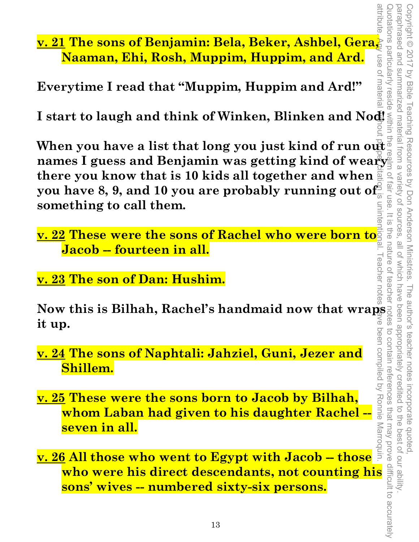**v. 21 The sons of Benjamin: Bela, Beker, Ashbel, Gera, Naaman, Ehi, Rosh, Muppim, Huppim, and Ard.** 

**Everytime I read that "Muppim, Huppim and Ard!"** 

**I start to laugh and think of Winken, Blinken and Nod!** 

**When you have a list that long you just kind of run out names I guess and Benjamin was getting kind of weary there you know that is 10 kids all together and when you have 8, 9, and 10 you are probably running out of something to call them.**  attribute. Any use of material without proper citation is unintentional. Teacher notes have been compiled by Ronnie Marroquin.

**v. 22 These were the sons of Rachel who were born to Jacob -- fourteen in all.** 

**v. 23 The son of Dan: Hushim.** 

**Now this is Bilhah, Rachel's handmaid now that wraps it up.** 

**v. 24 The sons of Naphtali: Jahziel, Guni, Jezer and Shillem.** 

**v. 25 These were the sons born to Jacob by Bilhah, whom Laban had given to his daughter Rachel - seven in all.** 

**Example 12 The sons of Naphtali: Jahziel, Guni, Jezer and<br>
<b>Example 12 These were the sons born to Jacob by Bilhah,**<br> **Example 12 These were the sons born to Jacob by Bilhah,**<br> **whom Laban had given to his daughter Rachel** been compiled by Ronnie Marroquin. **v. 26 All those who went to Egypt with Jacob -- those sons' wives -- numbered sixty-six persons.** 

annonue

use of materia

Quotations particularly resid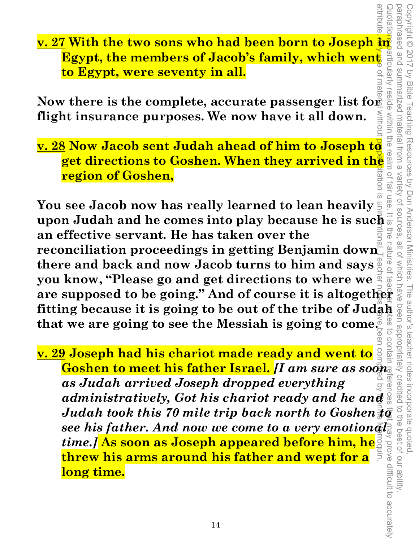Quotations particularly reside within the realm of fair use. It is the nature of teacher  $\omega$  teacher not teacher not teacher not the nature of teacher  $\omega$  to contain references that may prove difficult to accurately paraphrased and summarized material from a paraphrased and summarized material from a variety of sources, all of which have been appropriately credited to the best of our ability. Copyright © 2017 by Bible Teaching Resources by Don Anderson Ministries. The author's teacher notes incorporate quoted, Copyright © 2017 by Bible Teaching Resources by Don Anderson Ministries. Variety of sources nature o  $\overrightarrow{O}$ 

**<u>v. 27</u> With the two sons who had been born to Joseph in Egypt, the members of Jacob's family, which went a set<br>to Egypt, were seventy in all. Egypt, the members of Jacob's family, which went to Egypt, were seventy in all.** 

Now there is the complete, accurate passenger list for **Now** there is the complete, accurate passenger list for **flight insurance purposes. We now have it all down.** 

**v. 28 Now Jacob sent Judah ahead of him to Joseph to**  w there is the complete, accurate passenger list for  $\frac{1}{6}$ <br>
of insurance purposes. We now have it all down.<br>  $\frac{3}{6}$  Now Jacob sent Judah ahead of him to Joseph to  $\frac{3}{6}$ <br>
get directions to Goshen. When they arri **region of Goshen,** 

attribute. Any use of material without proper completed by Port notes have been completed by Portugal by Portugal by Portugal by Portugal by Portugal by Portugal by Portugal by Portugal by Portugal by Portugal by Portugal <u>ಸ</u> **You see Jacob now has really learned to lean heavily upon Judah and he comes into play because he is such**  $\frac{1}{5}$  **an effective servant. He has taken over the an effective servant. He has taken over the reconciliation proceedings in getting Benjamin down there and back and now Jacob turns to him and says you know, "Please go and get directions to where we fitting because it is going to be out of the tribe of Judah that we are going to see the Messiah is going to come.** 

**are conciliation proceedings in getting Benjamin down**<br> **are conciliation proceedings in getting Benjamin down**<br> **are supposed to be going."** And of course it is altogether<br> **are supposed to be going."** And of course it **v. 29 Joseph had his chariot made ready and went to Goshen to meet his father Israel.** *[I am sure as soon as Judah arrived Joseph dropped everything administratively, Got his chariot ready and he and Judah took this 70 mile trip back north to Goshen see his father. And now we come to a very emotional time.]* **As soon as Joseph appeared before him, he threw his arms around his father and wept for a long time.**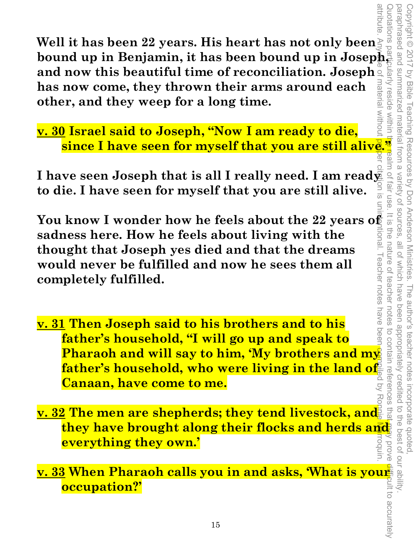**Well it has been 22 years. His heart has not only been bound up in Benjamin, it has been bound up in Joseph, and now this beautiful time of reconciliation. Joseph**  material without **has now come, they thrown their arms around each other, and they weep for a long time.** 

**v. 30 Israel said to Joseph, "Now I am ready to die, of Israel said to Joseph, INUW Lam Lynn, ISRN, 2016.**<br> **since I have seen for myself that you are still alive.<sup>3</sup><br>
The seen Joseph that is all I really need I am ready a** 

**I have seen Joseph that is all I really need. I am ready to die. I have seen for myself that you are still alive.** 

**You know I wonder how he feels about the 22 years of**  Illonal. I eacher notes **sadness here. How he feels about living with the thought that Joseph yes died and that the dreams would never be fulfilled and now he sees them all completely fulfilled.** 

- attribute. Any use of material without proper citation is unintentional. Teacher notes have been compiled by Ronnie Marroquin. have beel **v. 31 Then Joseph said to his brothers and to his father's household, "I will go up and speak to Pharaoh and will say to him, 'My brothers and my father's household, who were living in the land of Canaan, have come to me.**
- **v. 32 The men are shepherds; they tend livestock, and they have brought along their flocks and herds and everything they own.'**  Jorove

**v. 33 When Pharaoh calls you in and asks, 'What is your occupation?'**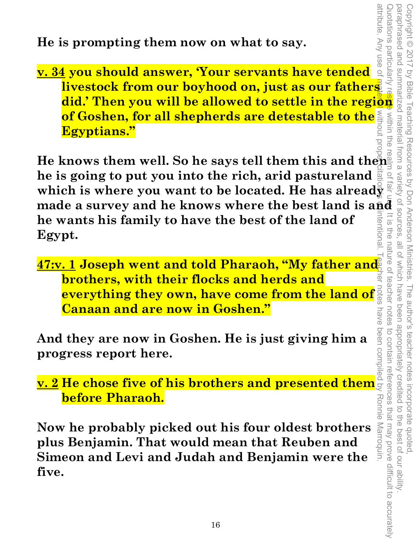**He is prompting them now on what to say.** 

attribute. Any use of **did.'** Then you will be allowed to say.<br> **did.'** Then you should answer, 'Your servants have tended and an interesting the property.<br> **divestock from our boyhood on, just as our fathers**<br> **did.'** Then you will be allowed Inotations particularly **v. 34 you should answer, 'Your servants have tended livestock from our boyhood on, just as our fathers of Goshen, for all shepherds are detestable to the**  within the **Egyptians."** 

attribute. Any use of material without proper citation is unintentional. Teacher notes have been compiled by Ronnie Marroquin. Quotations particularly reside within the realm of fair use. It is the nature of teacher notes to contain references that may prove difficult to accurately **He knows them well. So he says tell them this and then he is going to put you into the rich, arid pastureland**  which is where you want to be located. He has already **made a survey and he knows where the best land is and he wants his family to have the best of the land of**   $\overline{\omega}$ 금<br>이 **Egypt.**  nature o

Copyright © 2017 by Bible Teaching Resources by Don Anderson Ministries. The author's teacher notes incorporate quoted,

Copyright © 2017 by Bible Teaching Resources by Don Anderson Ministries.

paraphrased and summarized material from a variety of sources, all of which have been appropriately credited to the best of our ability.

all of which have

The author's teacher notes incorporate quoted,<br>have been appropriately credited to the best of our ability

to contain references that may prove difficult to accurately

teacher notes

OT SOUITCES

vanety

**47:v. 1 Joseph went and told Pharaoh, "My father and brothers, with their flocks and herds and everything they own, have come from the land of Canaan and are now in Goshen."**  nave

**And they are now in Goshen. He is just giving him a progress report here.**  And they are now in Goshen. He is just giving him a<br>
progress report here.<br>
<u>v. 2</u> He chose five of his brothers and presented them

**before Pharaoh.**  Ronnie Marroquin.

**Now he probably picked out his four oldest brothers plus Benjamin. That would mean that Reuben and Simeon and Levi and Judah and Benjamin were the five.**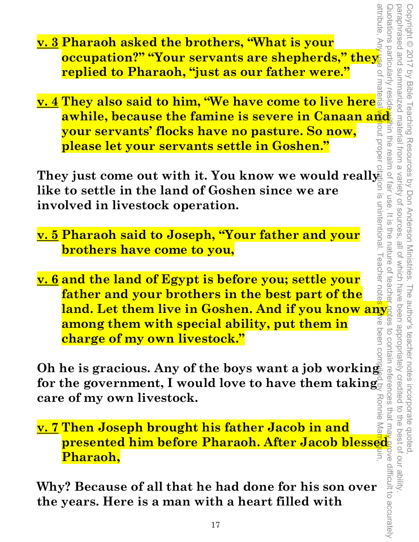- attribute **v. 3 Pharaoh asked the brothers, "What is your <u>occupation?" "Your servants are shepherds," they</u> replied to Pharaoh, "just as our father were."**
- / reside **v. 4 They also said to him, "We have come to live here awhile, because the famine is severe in Canaan and <br>your servants' flocks have no pasture. So now,** in the realm of fair use **your servants' flocks have no pasture. So now,**  prope **please let your servants settle in Goshen."**

**They just come out with it. You know we would really like to settle in the land of Goshen since we are involved in livestock operation.** 

Copyright © 2017 by Bible Teaching Resources by Don Anderson Ministries. The author's teacher notes incorporate quoted,

The author's teacher notes incorporate quoted

been appropriately credited

 $\overline{a}$ 

the best of our ability

paraphrased and summarized material from a variety of sources, all of which have been appropriately credited to the best of our ability.

all of which have

 $\frac{1}{2}$ 

paraphrased and summarized material from a variety of sources

Wortations particularly

Copyright © 2017 by Bible Teaching Resources by Don Anderson Ministries.

- **v. 5 Pharaoh said to Joseph, "Your father and your brothers have come to you,**
- attribute. Any use of material without proper citation is unintentional. Teacher notes have been compiled by Ronnie Marroquin. Quotations particularly reside within the realm of fair use. It is the nature of teacher notes to contain references that ma<u>y pr</u>ove difficult to accurately the nature of **v. 6 and the land of Egypt is before you; settle your**  teache **father and your brothers in the best part of the land. Let them live in Goshen. And if you know any among them with special ability, put them in charge of my own livestock."**

**Oh he is gracious. Any of the boys want a job working for the government, I would love to have them taking care of my own livestock.**  Ronne

**v. 7 Then Joseph brought his father Jacob in and presented him before Pharaoh. After Jacob blessed Pharaoh,** 

**Why? Because of all that he had done for his son over the years. Here is a man with a heart filled with**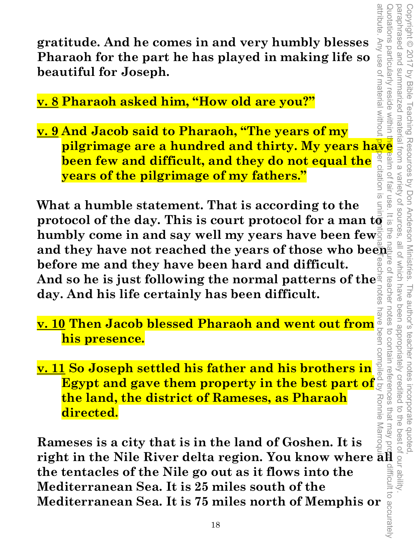**gratitude. And he comes in and very humbly blesses Pharaoh for the part he has played in making life so beautiful for Joseph.** 

**v. 8 Pharaoh asked him, "How old are you?"** 

Any use of material withou **pilgrimage are a hundred and thirty. My years have v. 9 And Jacob said to Pharaoh, "The years of my PET CITATION IS been few and difficult, and they do not equal the years of the pilgrimage of my fathers."** 

**What a humble statement. That is according to the protocol of the day. This is court protocol for a man**  $\mathrm{t}\bar{\mathbf{\sigma}}$ humbly come in and say well my years have been few<sup> $\bar{\tilde{S}}$ </sup> and they have not reached the years of those who been **before me and they have been hard and difficult.**  And so he is just following the normal patterns of the day. And his life certainly has been difficult. **day. And his life certainly has been difficult.** 

- **v. 10 Then Jacob blessed Pharaoh and went out from his presence.**
- **v. 11 So Joseph settled his father and his brothers in Egypt and gave them property in the best part of the land, the district of Rameses, as Pharaoh directed.**

**Rameses is a city that is in the land of Goshen. It is right in the Nile River delta region. You know where all the tentacles of the Nile go out as it flows into the Mediterranean Sea. It is 25 miles south of the Mediterranean Sea. It is 75 miles north of Memphis or**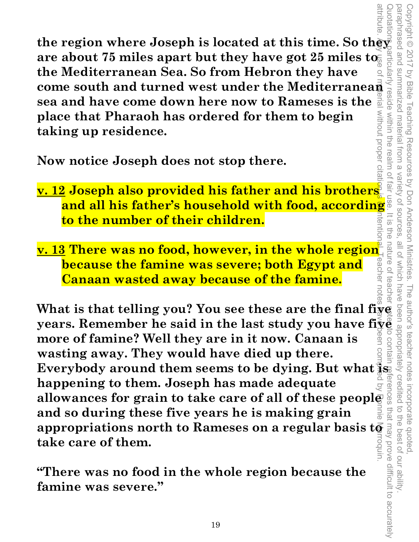**the region where Joseph is located at this time. So they come south and turned west under the Mediterranean are about 75 miles apart but they have got 25 miles to the Mediterranean Sea. So from Hebron they have sea and have come down here now to Rameses is the**  without proper citat **place that Pharaoh has ordered for them to begin taking up residence.** 

**Now notice Joseph does not stop there.** 

**v. 12 Joseph also provided his father and his brothers and all his father's household with food, according to the number of their children.**  tent

Copyright © 2017 by Bible Teaching Resources by Don Anderson Ministries. The author's teacher notes incorporate quoted,

The author's teacher notes

incorporate quoted,<br>edited to the best of our ability

by Bible Teaching Resources by Don Anderson Ministries.

paraphrased and summarized material from a variety of sources, all of which have been appropriately credited to the best of our ability.

all of which have

paraphrased and Copyright © 2017

summarized material

trom a

variety of sources

Tair

ine

nature o

teache

**v. 13 There was no food, however, in the whole region**  eache **because the famine was severe; both Egypt and Canaan wasted away because of the famine.** 

**What is that telling you? You see these are the final five**  What is that telling you? You see these are the final five prears. Remember he said in the last study you have five and more of famine? Well they are in it now. Canaan is<br>wasting away. They would have died up there.<br>Everyb **more of famine? Well they are in it now. Canaan is wasting away. They would have died up there. Everybody around them seems to be dying. But what is happening to them. Joseph has made adequate allowances for grain to take care of all of these people and so during these five years he is making grain appropriations north to Rameses on a regular basis to take care of them.**  Quotations particularly reside within the realm of fair use. It is the nature of teacher notes to contain references that may prove difficult to accurately attribute. Any use of material without proper citation is unintentional. Teacher notes have been compiled by Ronnie Marroquin.

**"There was no food in the whole region because the famine was severe."**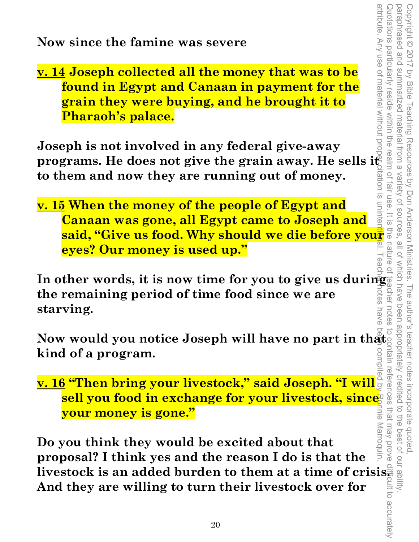**v. 14 Joseph collected all the money that was to be found in Egypt and Canaan in payment for the grain they were buying, and he brought it to Pharaoh's palace.** 

**Joseph is not involved in any federal give-away programs. He does not give the grain away. He sells it to them and now they are running out of money.** 

ration is uninter **v. 15 When the money of the people of Egypt and Canaan was gone, all Egypt came to Joseph and said, "Give us food. Why should we die before your property of the state of the state of the state of the state of the state of the state of the state of the state of the state of the state of the state of the state of th eyes? Our money is used up."** 

Copyright © 2017 by Bible Teaching Resources by Don Anderson Ministries. The author's teacher notes incorporate quoted,

paraphrased and summarized material from a variety of sources, all of which have been appropriately credited to the best of our ability.

 $\frac{1}{10}$ 

notes

Copyright © 2017 by Bible Teaching Resources by Don Anderson Ministries. The author's teacher notes incorporate quoted,<br>paraphrased and summarized material from a variety of sources, all of which have been appropriately c

Quotations particularly reside within the realm of fair use

attribute. Any use of material without proper citation is unintentional. Teacher notes have been compiled by Ronnie Marroquin. In other words, it is now time for you to give us during  $\frac{1}{2}$ <br>the remaining period of time food since we are **the remaining period of time food since we are**  iotes **starving.**  have

**kind of a program.** 

Now would you notice Joseph will have no part in that<br>
kind of a program.<br>
<u>v. 16</u> "Then bring your livestock," said Joseph. "I will  $\frac{1}{2}$ <br>
sell you food in exchange for your livestock, since<br>
your money is gone."<br>
Do **v. 16 "Then bring your livestock," said Joseph. "I will sell you food in exchange for your livestock, since your money is gone."** 

Quotations particularly reside within the realm of fair use. It is the nature of teacher notes to contain references that may prove difficult to accurately nnponne Marroquin **Do you think they would be excited about that proposal? I think yes and the reason I do is that the**  livestock is an added burden to them at a time of crisis. **And they are willing to turn their livestock over for**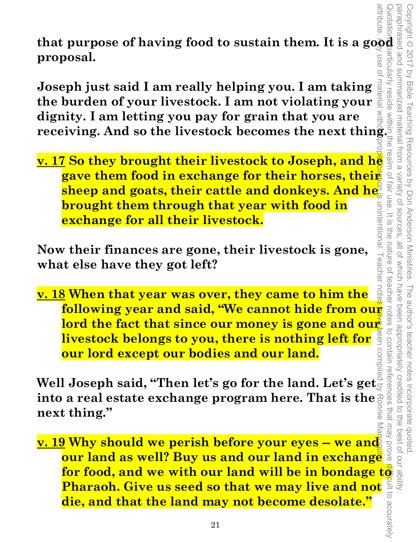**that purpose of having food to sustain them. It is a good and proposal.** articularly **proposal.** 

**Joseph just said I am really helping you. I am taking the burden of your livestock. I am not violating your dignity. I am letting you pay for grain that you are receiving. And so the livestock. I am not violating your dignity. I am letting you pay for grain that you are receiving. And so the livestock becomes the next thing set**  $\mathbf{v}$ **. 17 So they brought their livestock to Jose** 

attribute. Ay use of material witho**on proper citation is** unintentional. Teacher note<mark>s have </mark>been compiled by Ronnie Marroqui**o v. 17 So they brought their livestock to Joseph, and he gave them food in exchange for their horses, their**   ${\bf sheep}$  and goats, their cattle and donkeys. And he **brought them through that year with food in**  unintentional **exchange for all their livestock.** 

Copyright © 2017 by Bible Teaching Resources by Don Anderson Ministries. The author's teacher notes incorporate quoted,

The author's teacher notes

been appropriately credited

Copyright © 2017 by Bible Teaching Resources by Don Anderson Ministries.

summarized material from a

 $\supseteq$ 

fair use

 $=$   $\frac{1}{2}$ 

ine<br>a

nature of

teachel

leache

paraphrased and summarized material from a variety of sources, all of which have been appropriately credited to the best of our ability.

all of which have

Variety of sources

**Now their finances are gone, their livestock is gone, what else have they got left?** 

**v. 18 When that year was over, they came to him the following year and said, "We cannot hide from our lord the fact that since our money is gone and our livestock belongs to you, there is nothing left for our lord except our bodies and our land.** 

**Well Joseph said, "Then let's go for the land. Let's get into a real estate exchange program here. That is the next thing." Example 201 money is gone and our livestock belongs to you, there is nothing left for a space our lord except our bodies and our land.**<br>
<br> **a** Joseph said, "Then let's go for the land. Let's get<br>  $\alpha$  a real estate exchan

**v. 19 Why should we perish before your eyes -- we and**  I Joseph said, "Then let's go for the land. Let's get<sub>y as a</sub><br>
intrinsed a real estate exchange program here. That is the  $\frac{1}{2}$  of  $\frac{1}{2}$ <br> **thing."**<br> **Pour land we perish before your eyes – we and as well? Buy us a Pharaoh. Give us seed so that we may live and not**  $\frac{2}{\pi}$ **<br>die, and that the land may not become desolate."**<br><sup>21</sup> **die, and that the land may not become desolate."**  Quotations particularly reside within the realm of fair use. It is the nature of teacher notes to contain references that may prove difficult to accurately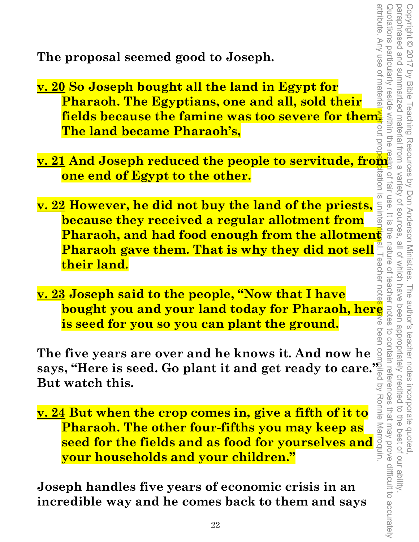**The proposal seemed good to Joseph.** 

- **v. 20 So Joseph bought all the land in Egypt for Pharaoh. The Egyptians, one and all, sold their**  fields because the famine was too severe for them **The land became Pharaoh's,**
- **v. 21 And Joseph reduced the people to servitude, from one end of Egypt to the other.**
- **v. 22 However, he did not buy the land of the priests, because they received a regular allotment from Pharaoh, and had food enough from the allotment and propen to the model of the state of their land.**<br> **Pharaoh gave them. That is why they did not sell**  $\frac{1}{n}$  and **their land. Pharaoh gave them. That is why they did not sell their land.**
- **v. 23 Joseph said to the people, "Now that I have is seed for you so you can plant the ground.**

**The five years are over and he knows it. And now he says, "Here is seed. Go plant it and get ready to care." But watch this.** 

**bought you and your land today for Pharaoh, here is seed for you so you can plant the ground.**<br> **five years are over and he knows it. And now here also a set of the seed. Go plant it and get ready to care.**<br> **here is seed v. 24 But when the crop comes in, give a fifth of it to Pharaoh. The other four-fifths you may keep as s, "Here is seed. Go plant it and get ready to care.**<br> **seed the fields and as food for yourselves and a space of the fields and as food for yourselves and**  $\frac{1}{2}$ **<br>
<b>Seed for the fields and as food for yourselves and \ your households and your children."** 

**Joseph handles five years of economic crisis in an incredible way and he comes back to them and says**  attribute. Any use of materia attribute. Any use of material <mark>wit</mark>hout proper citation is unintenti**on**al. Teacher notes <mark>de</mark> ve been compiled by Ronnie Marroquin. Quotations particularly reside within the realm of fair use. It is the nature of teacher notes to contain references that may prove difficult to accurately paraphrased and paraphrased and summarized material from a variety of sources, all of which have been appropriately credited to the best of our ability. Copyright © 2017 by Bible Teaching Resources by Don Anderson Ministries. The author's teacher notes incorporate quoted, Copyright © 2017 by Bible Teaching Resources by Don Anderson Ministries. Wotations particularly summarized material from a variety of sources reside within the of fair use  $\overline{\varpi}$  $\equiv$  $\frac{1}{2}$ all of Which have reacher The author's teacher notes been appropriately credited peer i incorporate quoted,<br>redited to the best of our ability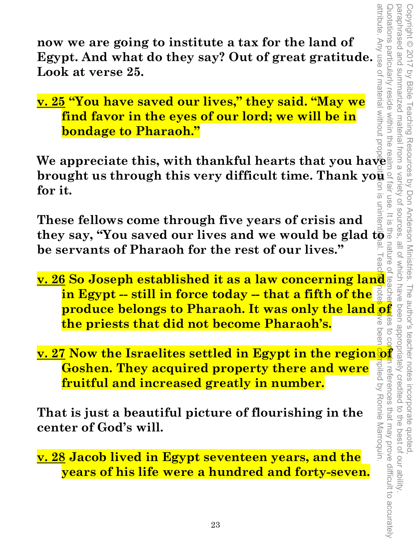attribute. Any use of material without proper citation is unintentional. Teacher notes have been compiled by Ronnie Marroquin. Quotations particularly reside within the realm of fair use. It is the nature of teacher and test to contain references that may prove difficult to accurately paraphrased and paraphrased and summarized material from a variety of sources, all of which have been appropriately credited to the best of our ability. Copyright © 2017 by Bible Teaching Resources by Don Anderson Ministries. The author's teacher notes incorporate quoted,  $\frac{1}{10}$  $\overline{O}$  $2000$ beer npiled by Ronnie Marroquin n references that may prove difficult to accurately

**now we are going to institute a tax for the land of Egypt. And what do they say? Out of great gratitude. Look at verse 25.** 

**v. 25 "You have saved our lives," they said. "May we find favor in the eyes of our lord; we will be in bondage to Pharaoh."** 

**We appreciate this, with thankful hearts that you have brought us through this very difficult time. Thank you all for it.**<br> **for it.**<br>  $\frac{1}{\frac{3}{5}}$ **for it.**  <u>ಸ</u>

**These fellows come through five years of crisis and**  they say, "You saved our lives and we would be glad t**o**  $^{\circ}$ **be servants of Pharaoh for the rest of our lives."** 

- **v. 26 So Joseph established it as a law concerning land in Egypt -- still in force today -- that a fifth of the produce belongs to fractually help and the present of the land of**  $\frac{1}{2}$  **and**  $\frac{1}{2}$  **was only the land of**  $\frac{1}{2}$  **and**  $\frac{1}{2}$  **and**  $\frac{1}{2}$  **and**  $\frac{1}{2}$  **and**  $\frac{1}{2}$  **and**  $\frac{1}{2}$  **and**  $\frac{1}{2}$  **and**  $\frac{1}{2}$  **a the priests that did not become Pharaoh's.**
- **v. 27 Now the Israelites settled in Egypt in the region of Goshen. They acquired property there and were fruitful and increased greatly in number.**

**That is just a beautiful picture of flourishing in the center of God's will.** 

**v. 28 Jacob lived in Egypt seventeen years, and the years of his life were a hundred and forty-seven.**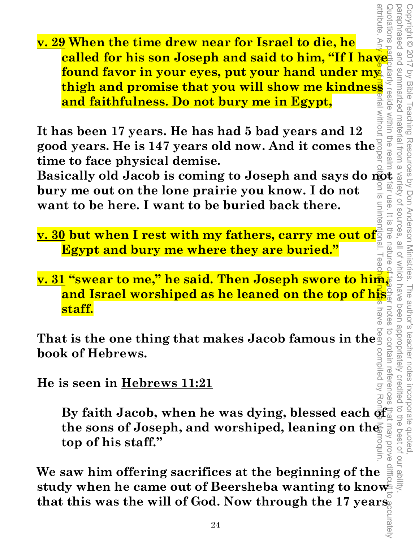attribute. Any use of material without proper citation is unintentional. Teacher notes have been compiled by Ronnie Marroquin. suotations **v. 29 When the time drew near for Israel to die, he called for his son Joseph and said to him, "If I have found favor in your eyes, put your hand under my thigh and promise that you will show me kindness and faithfulness. Do not bury me in Egypt,<br>and faithfulness. Do not bury me in Egypt,<br>as been 17 years. He has had 5 bad ye Example 12 Conservant UP: Basically old Jacob is coming to Joseph and says do not <br>
<b>Basically old Jacob is coming to Joseph and says do not**<br> **Basically old Jacob is coming to Joseph and says do not**<br> **Basically old J found favor in your eyes, put your hand under my and faithfulness. Do not bury me in Egypt,** 

**MITDOUT It has been 17 years. He has had 5 bad years and 12 good years. He is 147 years old now. And it comes the time to face physical demise.** 

**bury me out on the lone prairie you know. I do not want to be here. I want to be buried back there.** 

**v. 30 but when I rest with my fathers, carry me out of Egypt and bury me where they are buried."** 

Copyright © 2017 by Bible Teaching Resources by Don Anderson Ministries. The author's teacher notes incorporate quoted,

The author's teacher notes

all of which nature

have

been appropriately creditec

to contain referer

 $\overline{\omega}$ ÷<br>O by Bible Teaching Resources by Don Anderson Ministries.

attribute

paraphrased and Copyright © 2017

**v. 31 "swear to me," he said. Then Joseph swore to him, and Israel worshiped as he leaned on the top of his staff.**  notes

**That is the one thing that makes Jacob famous in the**  compiled by **book of Hebrews.** 

**He is seen in Hebrews 11:21**

By faith Jacob, when he was dying, blessed each  $\frac{1}{Q}$ the sons of Joseph, and worshiped, leaning on the may prove **top of his staff."** 

Quotations particularly reside within the realm of fair use. It is the nature of teacher notes to contain references that may prove difficult to accurately paraphrased and summarized material from a variety of sources, all of which have been appropriately credited to the best of our ability. incorporate quoted,<br>edited to the best of our ab **We saw him offering sacrifices at the beginning of the study when he came out of Beersheba wanting to know that this was the will of God. Now through the 17 years**  curately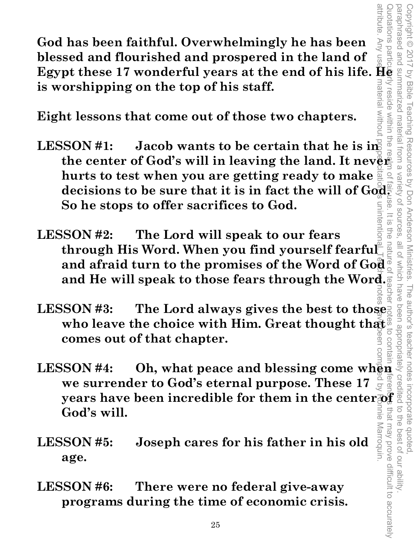attribute attribute. Any use of material without proper citation is unintentional. Teacher notes have been compiled by Ronnie Marroquin. Quotations particularly reside within the realm of fair use. It is the nature of teacher notes to contain references that may prove difficult to accurately paraphrased and summarized material from a variety of sources, all of which have been appropriately credited to the best of our ability. Copyright © 2017 by Bible Teaching Resources by Don Anderson Ministries. The author's teacher notes incorporate quoted, one besenderace Copyright @ 2017 by Bible nateria Teaching material from a Resources by Don Anderson Ministries. Vaniety OT SOUITCES all of Which have The author's teacher notes may prove difficult to accurately larroquin

**God has been faithful. Overwhelmingly he has been blessed and flourished and prospered in the land of Egypt these 17 wonderful years at the end of his life. He is worshipping on the top of his staff.** 

**Eight lessons that come out of those two chapters.** 

- LESSON #1: Jacob wants to be certain that he is in **the center of God's will in leaving the land. It never hurts to test when you are getting ready to make decisions to be sure that it is in fact the will of God. So he stops to offer sacrifices to God.**
- **LESSON #2: The Lord will speak to our fears through His Word. When you find yourself fearful and afraid turn to the promises of the Word of God and He will speak to those fears through the Word.**
- **LESSON #3: The Lord always gives the best to those who leave the choice with Him. Great thought that comes out of that chapter. LESSON #3:** The Lord always gives the best to those seem who leave the choice with Him. Great thought that  $\frac{1}{2}$  comes out of that chapter.<br>LESSON #4: Oh, what peace and blessing come when
- **we surrender to God's eternal purpose. These 17 we surrender to God's eternal purpose. These 17**  $g$  **is a simple pears have been incredible for them in the center of**  $f$  **and**  $f$  **and**  $f$  **and**  $f$  **and**  $f$  **and**  $f$  **and**  $f$  **and**  $f$  **and**  $f$  **and**  $f$  **and**  $f$  **and**  $f$  **and**  $f$  **and God's will.**
- **LESSON #5: Joseph cares for his father in his old age.**
- **LESSON #6: There were no federal give-away programs during the time of economic crisis.**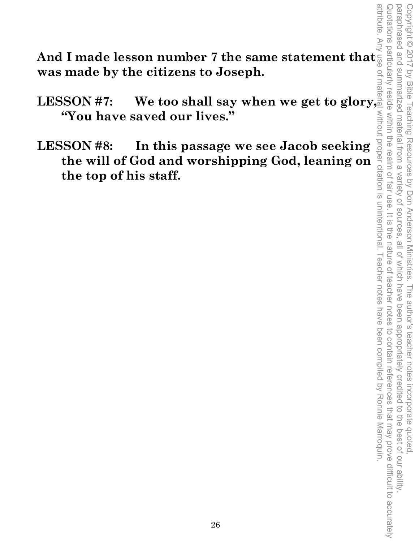Quotations particularly reside within the realm of fair use. It is the nature of teacher notes to contain references that may prove difficult to accurately paraphrased and summarized material from a variety of sources, all of which have been appropriately credited to the best of our ability attribute. Any use of material without proper citation is unintentional. Teacher notes have been compiled by Ronnie Marroquin. Quotations particularly reside within the realm of fair use. It is the nature of teacher notes to contain references that may prove difficult to accurately paraphrased and summarized material from a variety of sources, all of which have been appropriately credited to the best of our ability. Copyright © 2017 by Bible Teaching Resources by Don Anderson Ministries. The author's teacher notes incorporate quoted Copyright © 2017 by Bible Teaching Resources by Don Anderson Ministries. The author's teacher notes incorporate quoted,

**And I made lesson number 7 the same statement that was made by the citizens to Joseph.** 

**LESSON #7: We too shall say when we get to glory, "You have saved our lives."** 

**LESSON #8: In this passage we see Jacob seeking the will of God and worshipping God, leaning on the top of his staff.**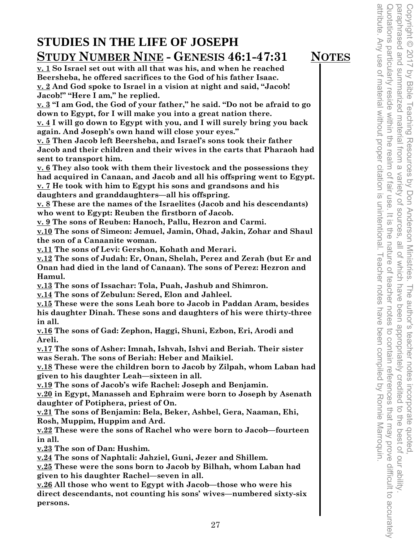## **STUDIES IN THE LIFE OF JOSEPH STUDY NUMBER NINE - GENESIS 46:1-47:31 NOTES**

**v. 1 So Israel set out with all that was his, and when he reached Beersheba, he offered sacrifices to the God of his father Isaac. v. 2 And God spoke to Israel in a vision at night and said, "Jacob! Jacob!" "Here I am," he replied.** 

**v. 3 "I am God, the God of your father," he said. "Do not be afraid to go down to Egypt, for I will make you into a great nation there.** 

**v. 4 I will go down to Egypt with you, and I will surely bring you back again. And Joseph's own hand will close your eyes."** 

**v. 5 Then Jacob left Beersheba, and Israel's sons took their father Jacob and their children and their wives in the carts that Pharaoh had sent to transport him.** 

**v. 6 They also took with them their livestock and the possessions they had acquired in Canaan, and Jacob and all his offspring went to Egypt. v. 7 He took with him to Egypt his sons and grandsons and his** 

**daughters and granddaughters—all his offspring. v. 8 These are the names of the Israelites (Jacob and his descendants)** 

**who went to Egypt: Reuben the firstborn of Jacob.** 

**v. 9 The sons of Reuben: Hanoch, Pallu, Hezron and Carmi.** 

**v.10 The sons of Simeon: Jemuel, Jamin, Ohad, Jakin, Zohar and Shaul the son of a Canaanite woman.** 

**v.11 The sons of Levi: Gershon, Kohath and Merari.** 

**v.12 The sons of Judah: Er, Onan, Shelah, Perez and Zerah (but Er and Onan had died in the land of Canaan). The sons of Perez: Hezron and Hamul.** 

**v.13 The sons of Issachar: Tola, Puah, Jashub and Shimron.** 

**v.14 The sons of Zebulun: Sered, Elon and Jahleel.** 

**v.15 These were the sons Leah bore to Jacob in Paddan Aram, besides his daughter Dinah. These sons and daughters of his were thirty-three in all.** 

**v.16 The sons of Gad: Zephon, Haggi, Shuni, Ezbon, Eri, Arodi and Areli.** 

**v.17 The sons of Asher: Imnah, Ishvah, Ishvi and Beriah. Their sister was Serah. The sons of Beriah: Heber and Maikiel.** 

**v.18 These were the children born to Jacob by Zilpah, whom Laban had given to his daughter Leah—sixteen in all.** 

**v.19 The sons of Jacob's wife Rachel: Joseph and Benjamin.** 

**v.20 in Egypt, Manasseh and Ephraim were born to Joseph by Asenath daughter of Potiphera, priest of On.** 

**v.21 The sons of Benjamin: Bela, Beker, Ashbel, Gera, Naaman, Ehi, Rosh, Muppim, Huppim and Ard.** 

**v.22 These were the sons of Rachel who were born to Jacob—fourteen in all.** 

**v.23 The son of Dan: Hushim.** 

**v.24 The sons of Naphtali: Jahziel, Guni, Jezer and Shillem.** 

**v.25 These were the sons born to Jacob by Bilhah, whom Laban had given to his daughter Rachel—seven in all.** 

**v.26 All those who went to Egypt with Jacob—those who were his direct descendants, not counting his sons' wives—numbered sixty-six persons.**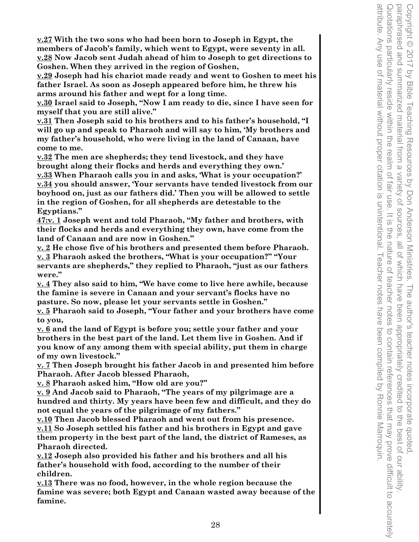**v.27 With the two sons who had been born to Joseph in Egypt, the members of Jacob's family, which went to Egypt, were seventy in all. v.28 Now Jacob sent Judah ahead of him to Joseph to get directions to** 

**Goshen. When they arrived in the region of Goshen, v.29 Joseph had his chariot made ready and went to Goshen to meet his father Israel. As soon as Joseph appeared before him, he threw his arms around his father and wept for a long time.** 

**v.30 Israel said to Joseph, "Now I am ready to die, since I have seen for myself that you are still alive."** 

**v.31 Then Joseph said to his brothers and to his father's household, "I will go up and speak to Pharaoh and will say to him, 'My brothers and my father's household, who were living in the land of Canaan, have come to me.** 

**v.32 The men are shepherds; they tend livestock, and they have brought along their flocks and herds and everything they own.' v.33 When Pharaoh calls you in and asks, 'What is your occupation?' v.34 you should answer, 'Your servants have tended livestock from our boyhood on, just as our fathers did.' Then you will be allowed to settle in the region of Goshen, for all shepherds are detestable to the Egyptians."** 

**47:v. 1 Joseph went and told Pharaoh, "My father and brothers, with their flocks and herds and everything they own, have come from the land of Canaan and are now in Goshen."** 

**v. 2 He chose five of his brothers and presented them before Pharaoh. v. 3 Pharaoh asked the brothers, "What is your occupation?" "Your servants are shepherds," they replied to Pharaoh, "just as our fathers were."** 

**v. 4 They also said to him, "We have come to live here awhile, because the famine is severe in Canaan and your servant's flocks have no pasture. So now, please let your servants settle in Goshen."** 

**v. 5 Pharaoh said to Joseph, "Your father and your brothers have come to you,** 

**v. 6 and the land of Egypt is before you; settle your father and your brothers in the best part of the land. Let them live in Goshen. And if you know of any among them with special ability, put them in charge of my own livestock."** 

**v. 7 Then Joseph brought his father Jacob in and presented him before Pharaoh. After Jacob blessed Pharaoh,** 

**v. 8 Pharaoh asked him, "How old are you?"** 

**v. 9 And Jacob said to Pharaoh, "The years of my pilgrimage are a hundred and thirty. My years have been few and difficult, and they do not equal the years of the pilgrimage of my fathers."** 

**v.10 Then Jacob blessed Pharaoh and went out from his presence. v.11 So Joseph settled his father and his brothers in Egypt and gave them property in the best part of the land, the district of Rameses, as Pharaoh directed.** 

**v.12 Joseph also provided his father and his brothers and all his father's household with food, according to the number of their children.** 

**v.13 There was no food, however, in the whole region because the famine was severe; both Egypt and Canaan wasted away because of the famine.**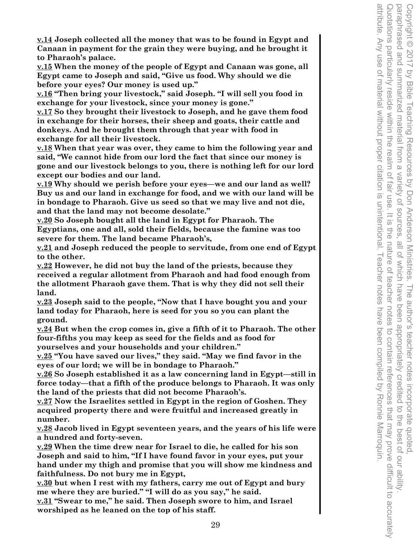**v.14 Joseph collected all the money that was to be found in Egypt and Canaan in payment for the grain they were buying, and he brought it to Pharaoh's palace.** 

**v.15 When the money of the people of Egypt and Canaan was gone, all Egypt came to Joseph and said, "Give us food. Why should we die before your eyes? Our money is used up."** 

**v.16 "Then bring your livestock," said Joseph. "I will sell you food in exchange for your livestock, since your money is gone."** 

**v.17 So they brought their livestock to Joseph, and he gave them food in exchange for their horses, their sheep and goats, their cattle and donkeys. And he brought them through that year with food in exchange for all their livestock.** 

**v.18 When that year was over, they came to him the following year and said, "We cannot hide from our lord the fact that since our money is gone and our livestock belongs to you, there is nothing left for our lord except our bodies and our land.** 

**v.19 Why should we perish before your eyes—we and our land as well? Buy us and our land in exchange for food, and we with our land will be in bondage to Pharaoh. Give us seed so that we may live and not die, and that the land may not become desolate."** 

**v.20 So Joseph bought all the land in Egypt for Pharaoh. The Egyptians, one and all, sold their fields, because the famine was too severe for them. The land became Pharaoh's,** 

**v.21 and Joseph reduced the people to servitude, from one end of Egypt to the other.** 

**v.22 However, he did not buy the land of the priests, because they received a regular allotment from Pharaoh and had food enough from the allotment Pharaoh gave them. That is why they did not sell their land.** 

**v.23 Joseph said to the people, "Now that I have bought you and your land today for Pharaoh, here is seed for you so you can plant the ground.** 

**v.24 But when the crop comes in, give a fifth of it to Pharaoh. The other four-fifths you may keep as seed for the fields and as food for yourselves and your households and your children."** 

**v.25 "You have saved our lives," they said. "May we find favor in the eyes of our lord; we will be in bondage to Pharaoh."** 

**v.26 So Joseph established it as a law concerning land in Egypt—still in force today—that a fifth of the produce belongs to Pharaoh. It was only the land of the priests that did not become Pharaoh's.** 

**v.27 Now the Israelites settled in Egypt in the region of Goshen. They acquired property there and were fruitful and increased greatly in number.** 

**v.28 Jacob lived in Egypt seventeen years, and the years of his life were a hundred and forty-seven.** 

**v.29 When the time drew near for Israel to die, he called for his son Joseph and said to him, "If I have found favor in your eyes, put your hand under my thigh and promise that you will show me kindness and faithfulness. Do not bury me in Egypt,** 

**v.30 but when I rest with my fathers, carry me out of Egypt and bury me where they are buried." "I will do as you say," he said.** 

**v.31 "Swear to me," he said. Then Joseph swore to him, and Israel worshiped as he leaned on the top of his staff.**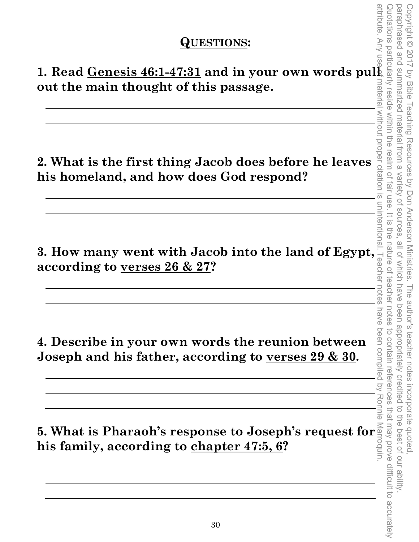#### **QUESTIONS:**

**1. Read Genesis 46:1-47:31 and in your own words pull out the main thought of this passage.** 

**2. What is the first thing Jacob does before he leaves his homeland, and how does God respond?** 

**3. How many went with Jacob into the land of Egypt, according to <u>verses 26 & 27</u>? according to verses 26 & 27?** 

**4. Describe in your own words the reunion between Joseph and his father, according to verses 29 & 30.** 

**5. What is Pharaoh's response to Joseph's request for his family, according to chapter 47:5, 6?**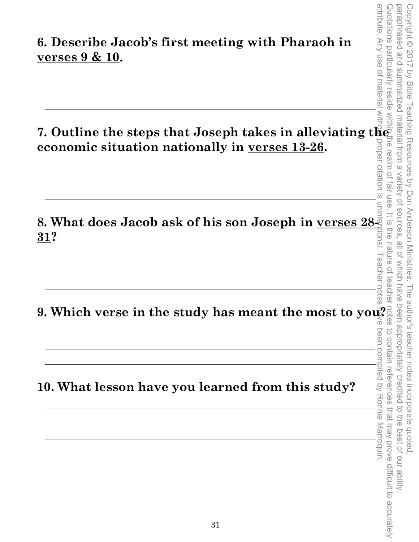**7. Outline the steps that Joseph takes in alleviating the economic situation nationally in verses 13-26.** 

**8. What does Jacob ask of his son Joseph in verses 28- 31?** 

I eacher notes **9. Which verse in the study has meant the most to you?** 

**10. What lesson have you learned from this study?** 

attribute. Any use of material without proper citation is unintentional. Teacher notes have been compiled by Ronnie Marroquin. Quotations particularly reside within the realm of fair use. It is the nature of teacher notes to contain references that may prove difficult to accurately paraphrased and paraphrased and summarized material from a variety of sources, all of which have been appropriately credited to the best of our ability. Copyright © 2017 by Bible Teaching Resources by Don Anderson Ministries. The author's teacher notes incorporate quoted Copyright © 2017 by Bible Teaching Resources by Don Anderson Ministries. The author's teacher notes incorporate quoted, summarized material from a variety of sources. It is the nature of teacher. all of which have been appropriately credited  $\overline{a}$ the best of our ability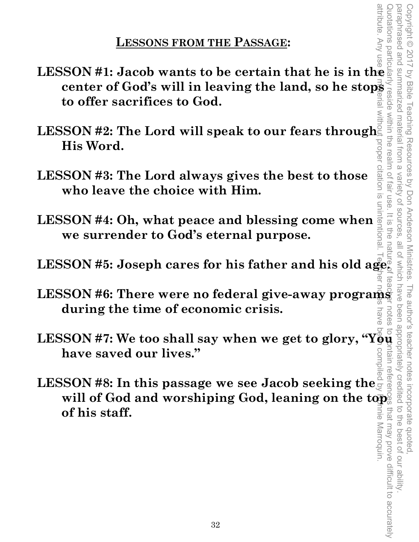### **LESSONS FROM THE PASSAGE:**

- **LESSON #1: Jacob wants to be certain that he is in the to offer sacrifices to God.**
- **center of God's will in leaving the land, so he stops to offer sacrifices to God.**<br>
SSON #2: The Lord will speak to our fears through  $\frac{2}{3}$ <br>
His Word.<br>
SSON #3: The Lord always gives the best to those  $\frac{2}{3}$ <br>
sson **LESSON #2: The Lord will speak to our fears through His Word.**
- **LESSON #3: The Lord always gives the best to those who leave the choice with Him.**
- **LESSON #4: Oh, what peace and blessing come when we surrender to God's eternal purpose.**
- **LESSON #5: Joseph cares for his father and his old age.**<br>LESSON #5: Joseph cares for his father and his old age.
- **LESSON #6: There were no federal give-away programs during the time of economic crisis.**
- **have saved our lives."**
- **have saved our lives."**<br>LESSON #8: In this passage we see Jacob seeking the will of God and worshiping God, leaning on the top<sup>5</sup> **of his staff.**